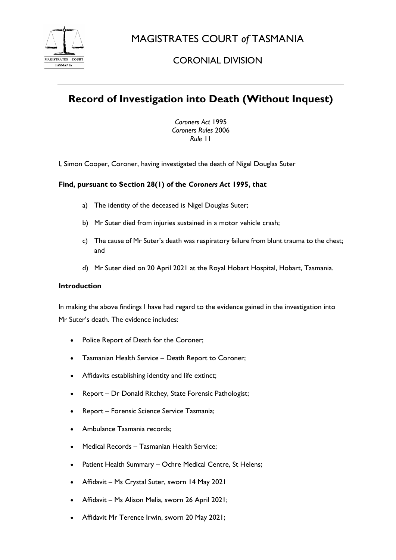

MAGISTRATES COURT *of* TASMANIA

# CORONIAL DIVISION

# **Record of Investigation into Death (Without Inquest)**

*Coroners Act* 1995 *Coroners Rules* 2006 *Rule* 11

I, Simon Cooper, Coroner, having investigated the death of Nigel Douglas Suter

## **Find, pursuant to Section 28(1) of the** *Coroners Act* **1995, that**

- a) The identity of the deceased is Nigel Douglas Suter;
- b) Mr Suter died from injuries sustained in a motor vehicle crash;
- c) The cause of Mr Suter's death was respiratory failure from blunt trauma to the chest; and
- d) Mr Suter died on 20 April 2021 at the Royal Hobart Hospital, Hobart, Tasmania.

### **Introduction**

In making the above findings I have had regard to the evidence gained in the investigation into Mr Suter's death. The evidence includes:

- Police Report of Death for the Coroner;
- Tasmanian Health Service Death Report to Coroner;
- Affidavits establishing identity and life extinct;
- Report Dr Donald Ritchey, State Forensic Pathologist;
- Report Forensic Science Service Tasmania;
- Ambulance Tasmania records;
- Medical Records Tasmanian Health Service;
- Patient Health Summary Ochre Medical Centre, St Helens;
- Affidavit Ms Crystal Suter, sworn 14 May 2021
- Affidavit Ms Alison Melia, sworn 26 April 2021;
- Affidavit Mr Terence Irwin, sworn 20 May 2021;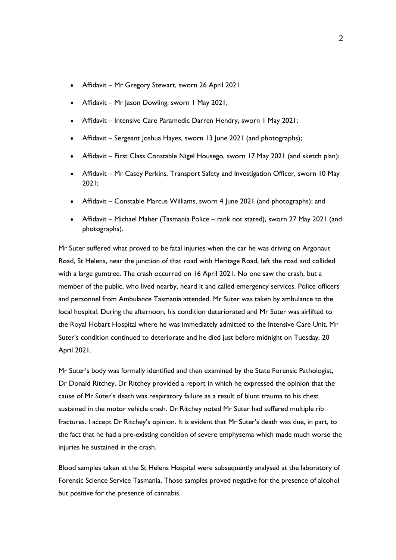- Affidavit Mr Gregory Stewart, sworn 26 April 2021
- Affidavit Mr Jason Dowling, sworn 1 May 2021;
- Affidavit Intensive Care Paramedic Darren Hendry, sworn 1 May 2021;
- Affidavit Sergeant Joshua Hayes, sworn 13 June 2021 (and photographs);
- Affidavit First Class Constable Nigel Housego, sworn 17 May 2021 (and sketch plan);
- Affidavit Mr Casey Perkins, Transport Safety and Investigation Officer, sworn 10 May 2021;
- Affidavit Constable Marcus Williams, sworn 4 June 2021 (and photographs); and
- Affidavit Michael Maher (Tasmania Police rank not stated), sworn 27 May 2021 (and photographs).

Mr Suter suffered what proved to be fatal injuries when the car he was driving on Argonaut Road, St Helens, near the junction of that road with Heritage Road, left the road and collided with a large gumtree. The crash occurred on 16 April 2021. No one saw the crash, but a member of the public, who lived nearby, heard it and called emergency services. Police officers and personnel from Ambulance Tasmania attended. Mr Suter was taken by ambulance to the local hospital. During the afternoon, his condition deteriorated and Mr Suter was airlifted to the Royal Hobart Hospital where he was immediately admitted to the Intensive Care Unit. Mr Suter's condition continued to deteriorate and he died just before midnight on Tuesday, 20 April 2021.

Mr Suter's body was formally identified and then examined by the State Forensic Pathologist, Dr Donald Ritchey. Dr Ritchey provided a report in which he expressed the opinion that the cause of Mr Suter's death was respiratory failure as a result of blunt trauma to his chest sustained in the motor vehicle crash. Dr Ritchey noted Mr Suter had suffered multiple rib fractures. I accept Dr Ritchey's opinion. It is evident that Mr Suter's death was due, in part, to the fact that he had a pre-existing condition of severe emphysema which made much worse the injuries he sustained in the crash.

Blood samples taken at the St Helens Hospital were subsequently analysed at the laboratory of Forensic Science Service Tasmania. Those samples proved negative for the presence of alcohol but positive for the presence of cannabis.